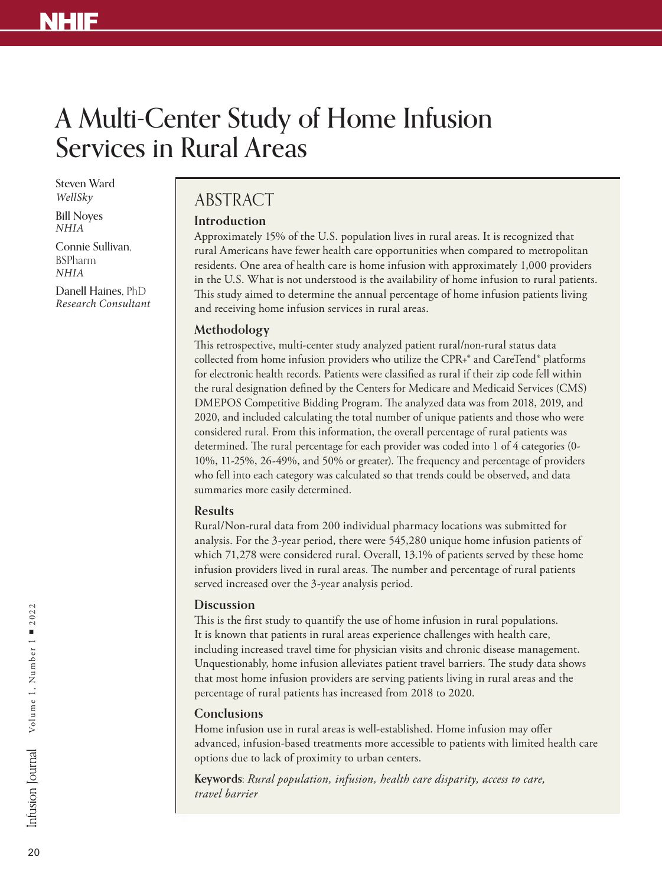# A Multi-Center Study of Home Infusion Services in Rural Areas

Steven Ward *WellSky*

Bill Noyes *NHIA*

Connie Sullivan, BSPharm *NHIA*

Danell Haines, PhD *Research Consultant*

# ABSTRACT

# **Introduction**

Approximately 15% of the U.S. population lives in rural areas. It is recognized that rural Americans have fewer health care opportunities when compared to metropolitan residents. One area of health care is home infusion with approximately 1,000 providers in the U.S. What is not understood is the availability of home infusion to rural patients. This study aimed to determine the annual percentage of home infusion patients living and receiving home infusion services in rural areas.

# **Methodology**

This retrospective, multi-center study analyzed patient rural/non-rural status data collected from home infusion providers who utilize the CPR+® and CareTend® platforms for electronic health records. Patients were classified as rural if their zip code fell within the rural designation defined by the Centers for Medicare and Medicaid Services (CMS) DMEPOS Competitive Bidding Program. The analyzed data was from 2018, 2019, and 2020, and included calculating the total number of unique patients and those who were considered rural. From this information, the overall percentage of rural patients was determined. The rural percentage for each provider was coded into 1 of 4 categories (0- 10%, 11-25%, 26-49%, and 50% or greater). The frequency and percentage of providers who fell into each category was calculated so that trends could be observed, and data summaries more easily determined.

# **Results**

Rural/Non-rural data from 200 individual pharmacy locations was submitted for analysis. For the 3-year period, there were 545,280 unique home infusion patients of which 71,278 were considered rural. Overall, 13.1% of patients served by these home infusion providers lived in rural areas. The number and percentage of rural patients served increased over the 3-year analysis period.

# **Discussion**

This is the first study to quantify the use of home infusion in rural populations. It is known that patients in rural areas experience challenges with health care, including increased travel time for physician visits and chronic disease management. Unquestionably, home infusion alleviates patient travel barriers. The study data shows that most home infusion providers are serving patients living in rural areas and the percentage of rural patients has increased from 2018 to 2020.

# **Conclusions**

Home infusion use in rural areas is well-established. Home infusion may offer advanced, infusion-based treatments more accessible to patients with limited health care options due to lack of proximity to urban centers.

**Keywords:** *Rural population, infusion, health care disparity, access to care, travel barrier*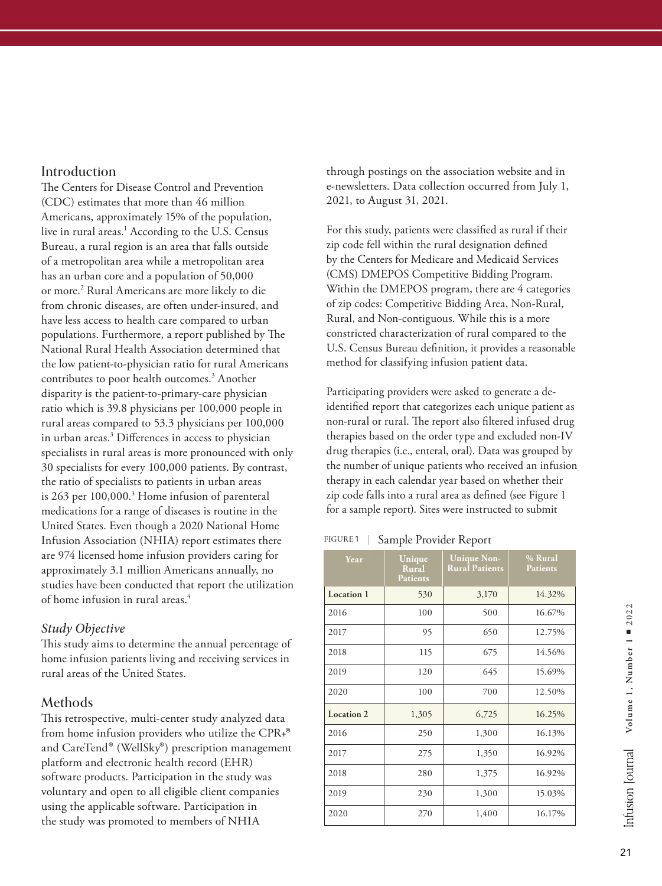# Introduction

The Centers for Disease Control and Prevention (CDC) estimates that more than 46 million Americans, approximately 15% of the population, live in rural areas.<sup>1</sup> According to the U.S. Census Bureau, a rural region is an area that falls outside of a metropolitan area while a metropolitan area has an urban core and a population of 50,000 or more.<sup>2</sup> Rural Americans are more likely to die from chronic diseases, are often under-insured, and have less access to health care compared to urban populations. Furthermore, a report published by The National Rural Health Association determined that the low patient-to-physician ratio for rural Americans contributes to poor health outcomes.<sup>3</sup> Another disparity is the patient-to-primary-care physician ratio which is 39.8 physicians per 100,000 people in rural areas compared to 53.3 physicians per 100,000 in urban areas.3 Differences in access to physician specialists in rural areas is more pronounced with only 30 specialists for every 100,000 patients. By contrast, the ratio of specialists to patients in urban areas is 263 per 100,000.<sup>3</sup> Home infusion of parenteral medications for a range of diseases is routine in the United States. Even though a 2020 National Home Infusion Association (NHIA) report estimates there are 974 licensed home infusion providers caring for approximately 3.1 million Americans annually, no studies have been conducted that report the utilization of home infusion in rural areas.<sup>4</sup>

# *Study Objective*

This study aims to determine the annual percentage of home infusion patients living and receiving services in rural areas of the United States.

# Methods

This retrospective, multi-center study analyzed data from home infusion providers who utilize the CPR+®<br>and CareTend® (WellSky®) prescription management platform and electronic health record (EHR) software products. Participation in the study was voluntary and open to all eligible client companies using the applicable software. Participation in the study was promoted to members of NHIA

through postings on the association website and in e-newsletters. Data collection occurred from July 1, 2021, to August 31, 2021.

For this study, patients were classified as rural if their zip code fell within the rural designation defined by the Centers for Medicare and Medicaid Services (CMS) DMEPOS Competitive Bidding Program. Within the DMEPOS program, there are 4 categories of zip codes: Competitive Bidding Area, Non-Rural, Rural, and Non-contiguous. While this is a more constricted characterization of rural compared to the U.S. Census Bureau definition, it provides a reasonable method for classifying infusion patient data.

Participating providers were asked to generate a deidentified report that categorizes each unique patient as non-rural or rural. The report also filtered infused drug therapies based on the order type and excluded non-IV drug therapies (i.e., enteral, oral). Data was grouped by the number of unique patients who received an infusion therapy in each calendar year based on whether their zip code falls into a rural area as defined (see Figure 1 for a sample report). Sites were instructed to submit

# FIGURE 1 | Sample Provider Report

| Year       | Unique<br><b>Rural</b><br><b>Patients</b> | <b>Unique Non-</b><br><b>Rural Patients</b> | % Rural<br><b>Patients</b> |
|------------|-------------------------------------------|---------------------------------------------|----------------------------|
| Location 1 | 530                                       | 3,170                                       | 14.32%                     |
| 2016       | 100                                       | 500                                         | 16.67%                     |
| 2017       | 95                                        | 650                                         | 12.75%                     |
| 2018       | 115                                       | 675                                         | 14.56%                     |
| 2019       | 120                                       | 645                                         | 15.69%                     |
| 2020       | 100                                       | 700                                         | 12.50%                     |
| Location 2 | 1,305                                     | 6,725                                       | 16.25%                     |
| 2016       | 250                                       | 1,300                                       | 16.13%                     |
| 2017       | 275                                       | 1,350                                       | 16.92%                     |
| 2018       | 280                                       | 1,375                                       | 16.92%                     |
| 2019       | 230                                       | 1,300                                       | 15.03%                     |
| 2020       | 270                                       | 1,400                                       | 16.17%                     |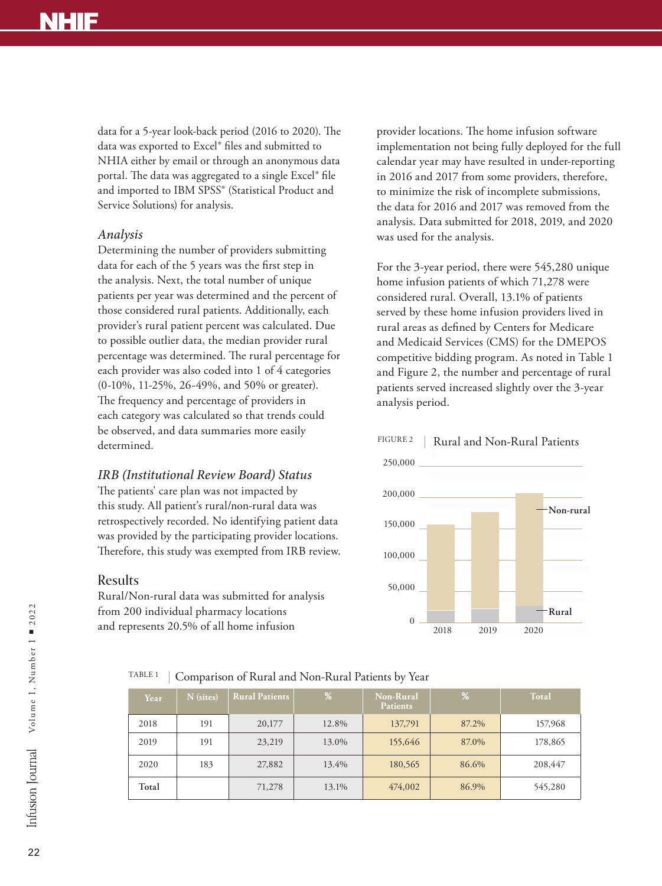data for a 5-year look-back period (2016 to 2020). The data was exported to Excel® files and submitted to NHIA either by email or through an anonymous data portal. The data was aggregated to a single Excel® file and imported to IBM SPSS® (Statistical Product and Service Solutions) for analysis.

# *Analysis*

Determining the number of providers submitting data for each of the 5 years was the first step in the analysis. Next, the total number of unique patients per year was determined and the percent of those considered rural patients. Additionally, each provider's rural patient percent was calculated. Due to possible outlier data, the median provider rural percentage was determined. The rural percentage for each provider was also coded into 1 of 4 categories (0-10%, 11-25%, 26-49%, and 50% or greater). The frequency and percentage of providers in each category was calculated so that trends could be observed, and data summaries more easily determined.

### *IRB (Institutional Review Board) Status*

The patients' care plan was not impacted by this study. All patient's rural/non-rural data was retrospectively recorded. No identifying patient data was provided by the participating provider locations. Therefore, this study was exempted from IRB review.

# Results

Rural/Non-rural data was submitted for analysis from 200 individual pharmacy locations and represents 20.5% of all home infusion

provider locations. The home infusion software implementation not being fully deployed for the full calendar year may have resulted in under-reporting in 2016 and 2017 from some providers, therefore, to minimize the risk of incomplete submissions, the data for 2016 and 2017 was removed from the analysis. Data submitted for 2018, 2019, and 2020 was used for the analysis.

For the 3-year period, there were 545,280 unique home infusion patients of which 71,278 were considered rural. Overall, 13.1% of patients served by these home infusion providers lived in rural areas as defined by Centers for Medicare and Medicaid Services (CMS) for the DMEPOS competitive bidding program. As noted in Table 1 and Figure 2, the number and percentage of rural patients served increased slightly over the 3-year analysis period.

#### FIGURE 2 | Rural and Non-Rural Patients



# TABLE 1 Comparison of Rural and Non-Rural Patients by Year

| Year  | N (sites) | <b>Rural Patients</b> | %     | <b>Non-Rural</b><br><b>Patients</b> | %     | <b>Total</b> |
|-------|-----------|-----------------------|-------|-------------------------------------|-------|--------------|
| 2018  | 191       | 20,177                | 12.8% | 137,791                             | 87.2% | 157,968      |
| 2019  | 191       | 23,219                | 13.0% | 155,646                             | 87.0% | 178,865      |
| 2020  | 183       | 27,882                | 13.4% | 180,565                             | 86.6% | 208,447      |
| Total |           | 71,278                | 13.1% | 474,002                             | 86.9% | 545,280      |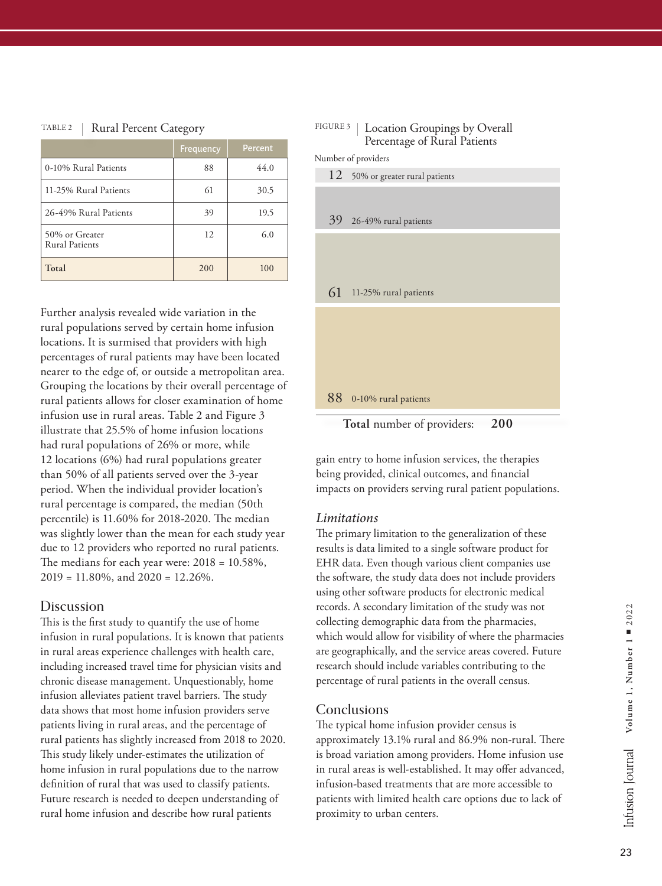#### TABLE 2 | Rural Percent Category

|                                  | Frequency | Percent |
|----------------------------------|-----------|---------|
| 0-10% Rural Patients             | 88        | 44.0    |
| 11-25% Rural Patients            | 61        | 30.5    |
| 26-49% Rural Patients            | 39        | 19.5    |
| 50% or Greater<br>Rural Patients | 12        | 6.0     |
| Total                            | 200       | 100     |

Further analysis revealed wide variation in the rural populations served by certain home infusion locations. It is surmised that providers with high percentages of rural patients may have been located nearer to the edge of, or outside a metropolitan area. Grouping the locations by their overall percentage of rural patients allows for closer examination of home infusion use in rural areas. Table 2 and Figure 3 illustrate that 25.5% of home infusion locations had rural populations of 26% or more, while 12 locations (6%) had rural populations greater than 50% of all patients served over the 3-year period. When the individual provider location's rural percentage is compared, the median (50th percentile) is 11.60% for 2018-2020. The median was slightly lower than the mean for each study year due to 12 providers who reported no rural patients. The medians for each year were: 2018 = 10.58%, 2019 = 11.80%, and 2020 = 12.26%.

### Discussion

This is the first study to quantify the use of home infusion in rural populations. It is known that patients in rural areas experience challenges with health care, including increased travel time for physician visits and chronic disease management. Unquestionably, home infusion alleviates patient travel barriers. The study data shows that most home infusion providers serve patients living in rural areas, and the percentage of rural patients has slightly increased from 2018 to 2020. This study likely under-estimates the utilization of home infusion in rural populations due to the narrow definition of rural that was used to classify patients. Future research is needed to deepen understanding of rural home infusion and describe how rural patients

#### FIGURE 3 | Location Groupings by Overall Percentage of Rural Patients

Number of providers



gain entry to home infusion services, the therapies being provided, clinical outcomes, and financial

**200**

**Total** number of providers:

impacts on providers serving rural patient populations.

# *Limitations*

The primary limitation to the generalization of these results is data limited to a single software product for EHR data. Even though various client companies use the software, the study data does not include providers using other software products for electronic medical records. A secondary limitation of the study was not collecting demographic data from the pharmacies, which would allow for visibility of where the pharmacies are geographically, and the service areas covered. Future research should include variables contributing to the percentage of rural patients in the overall census.

# **Conclusions**

The typical home infusion provider census is approximately 13.1% rural and 86.9% non-rural. There is broad variation among providers. Home infusion use in rural areas is well-established. It may offer advanced, infusion-based treatments that are more accessible to patients with limited health care options due to lack of proximity to urban centers.